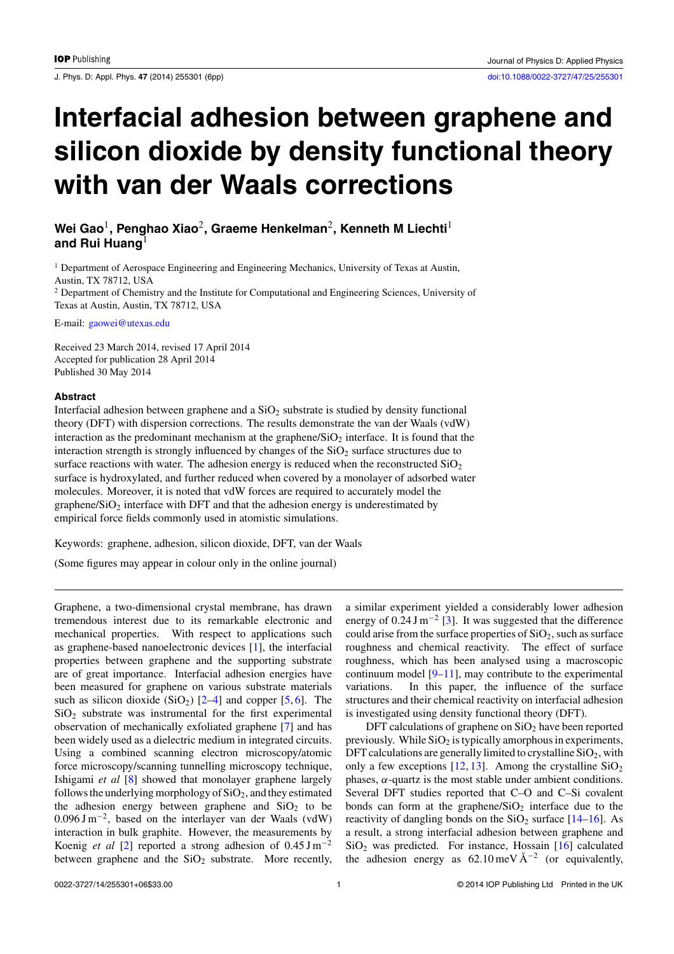J. Phys. D: Appl. Phys. **47** (2014) 255301 (6pp) [doi:10.1088/0022-3727/47/25/255301](http://dx.doi.org/10.1088/0022-3727/47/25/255301)

# **Interfacial adhesion between graphene and silicon dioxide by density functional theory with van der Waals corrections**

## **Wei Gao**1**, Penghao Xiao**2**, Graeme Henkelman**2**, Kenneth M Liechti**<sup>1</sup> **and Rui Huang**<sup>1</sup>

 $<sup>1</sup>$  Department of Aerospace Engineering and Engineering Mechanics, University of Texas at Austin,</sup> Austin, TX 78712, USA

<sup>2</sup> Department of Chemistry and the Institute for Computational and Engineering Sciences, University of Texas at Austin, Austin, TX 78712, USA

E-mail: [gaowei@utexas.edu](mailto: gaowei@utexas.edu)

Received 23 March 2014, revised 17 April 2014 Accepted for publication 28 April 2014 Published 30 May 2014

#### **Abstract**

Interfacial adhesion between graphene and a  $SiO<sub>2</sub>$  substrate is studied by density functional theory (DFT) with dispersion corrections. The results demonstrate the van der Waals (vdW) interaction as the predominant mechanism at the graphene/ $SiO<sub>2</sub>$  interface. It is found that the interaction strength is strongly influenced by changes of the  $SiO<sub>2</sub>$  surface structures due to surface reactions with water. The adhesion energy is reduced when the reconstructed  $SiO<sub>2</sub>$ surface is hydroxylated, and further reduced when covered by a monolayer of adsorbed water molecules. Moreover, it is noted that vdW forces are required to accurately model the graphene/ $SiO<sub>2</sub>$  interface with DFT and that the adhesion energy is underestimated by empirical force fields commonly used in atomistic simulations.

Keywords: graphene, adhesion, silicon dioxide, DFT, van der Waals

(Some figures may appear in colour only in the online journal)

Graphene, a two-dimensional crystal membrane, has drawn tremendous interest due to its remarkable electronic and mechanical properties. With respect to applications such as graphene-based nanoelectronic devices [\[1\]](#page-5-0), the interfacial properties between graphene and the supporting substrate are of great importance. Interfacial adhesion energies have been measured for graphene on various substrate materials such as silicon dioxide  $(SiO<sub>2</sub>)$  [\[2–4\]](#page-5-0) and copper [\[5,](#page-5-0) [6\]](#page-5-0). The  $SiO<sub>2</sub>$  substrate was instrumental for the first experimental observation of mechanically exfoliated graphene [\[7\]](#page-5-0) and has been widely used as a dielectric medium in integrated circuits. Using a combined scanning electron microscopy/atomic force microscopy/scanning tunnelling microscopy technique, Ishigami *et al* [\[8\]](#page-5-0) showed that monolayer graphene largely follows the underlying morphology of  $SiO<sub>2</sub>$ , and they estimated the adhesion energy between graphene and  $SiO<sub>2</sub>$  to be 0.096 J m−2, based on the interlayer van der Waals (vdW) interaction in bulk graphite. However, the measurements by Koenig *et al* [\[2\]](#page-5-0) reported a strong adhesion of 0.45 J m−<sup>2</sup> between graphene and the  $SiO<sub>2</sub>$  substrate. More recently,

a similar experiment yielded a considerably lower adhesion energy of  $0.24 \text{ J m}^{-2}$  [\[3\]](#page-5-0). It was suggested that the difference could arise from the surface properties of  $SiO<sub>2</sub>$ , such as surface roughness and chemical reactivity. The effect of surface roughness, which has been analysed using a macroscopic continuum model  $[9-11]$ , may contribute to the experimental variations. In this paper, the influence of the surface structures and their chemical reactivity on interfacial adhesion is investigated using density functional theory (DFT).

DFT calculations of graphene on  $SiO<sub>2</sub>$  have been reported previously. While  $SiO<sub>2</sub>$  is typically amorphous in experiments, DFT calculations are generally limited to crystalline  $SiO<sub>2</sub>$ , with only a few exceptions  $[12, 13]$  $[12, 13]$  $[12, 13]$ . Among the crystalline  $SiO<sub>2</sub>$ phases,  $α$ -quartz is the most stable under ambient conditions. Several DFT studies reported that C–O and C–Si covalent bonds can form at the graphene/ $SiO<sub>2</sub>$  interface due to the reactivity of dangling bonds on the  $SiO<sub>2</sub>$  surface [\[14–16\]](#page-5-0). As a result, a strong interfacial adhesion between graphene and  $SiO<sub>2</sub>$  was predicted. For instance, Hossain [\[16\]](#page-5-0) calculated the adhesion energy as 62.10 meV  $A^{-2}$  (or equivalently,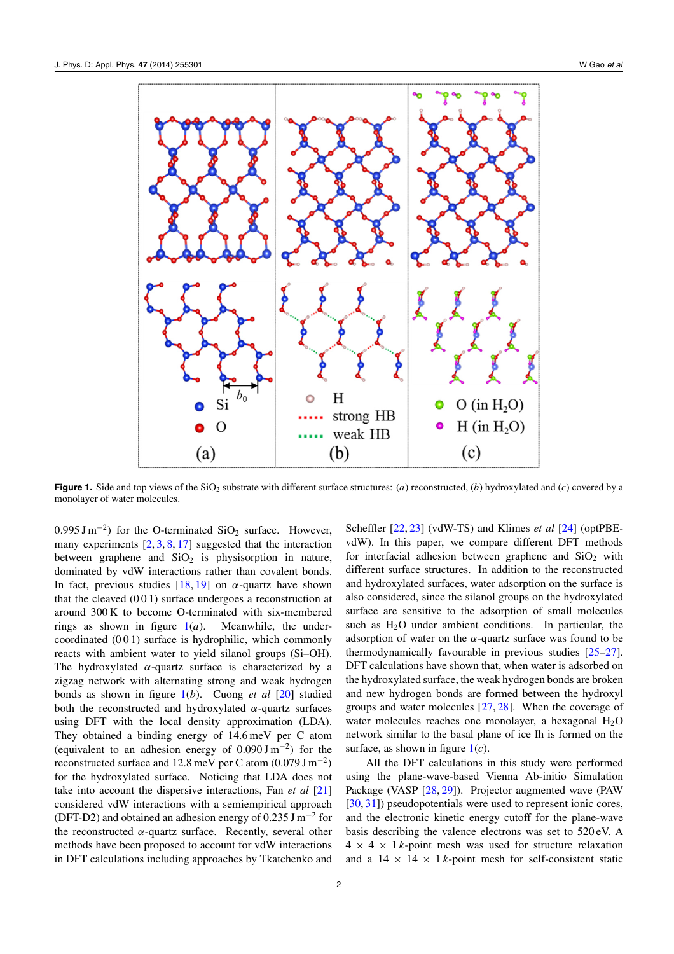<span id="page-1-0"></span>

**Figure 1.** Side and top views of the SiO<sub>2</sub> substrate with different surface structures: (*a*) reconstructed, (*b*) hydroxylated and (*c*) covered by a monolayer of water molecules.

0.995 J m<sup>-2</sup>) for the O-terminated SiO<sub>2</sub> surface. However, many experiments  $[2, 3, 8, 17]$  $[2, 3, 8, 17]$  $[2, 3, 8, 17]$  $[2, 3, 8, 17]$  $[2, 3, 8, 17]$  $[2, 3, 8, 17]$  $[2, 3, 8, 17]$  suggested that the interaction between graphene and  $SiO<sub>2</sub>$  is physisorption in nature, dominated by vdW interactions rather than covalent bonds. In fact, previous studies  $[18, 19]$  $[18, 19]$  $[18, 19]$  on  $\alpha$ -quartz have shown that the cleaved  $(001)$  surface undergoes a reconstruction at around 300 K to become O-terminated with six-membered rings as shown in figure  $1(a)$ . Meanwhile, the undercoordinated (0 0 1) surface is hydrophilic, which commonly reacts with ambient water to yield silanol groups (Si–OH). The hydroxylated *α*-quartz surface is characterized by a zigzag network with alternating strong and weak hydrogen bonds as shown in figure 1(*b*). Cuong *et al* [\[20\]](#page-5-0) studied both the reconstructed and hydroxylated *α*-quartz surfaces using DFT with the local density approximation (LDA). They obtained a binding energy of 14.6 meV per C atom (equivalent to an adhesion energy of 0.090 J m−<sup>2</sup>*)* for the reconstructed surface and 12.8 meV per C atom (0.079 J m−<sup>2</sup>*)* for the hydroxylated surface. Noticing that LDA does not take into account the dispersive interactions, Fan *et al* [\[21\]](#page-5-0) considered vdW interactions with a semiempirical approach (DFT-D2) and obtained an adhesion energy of  $0.235$  J m<sup>-2</sup> for the reconstructed  $\alpha$ -quartz surface. Recently, several other methods have been proposed to account for vdW interactions in DFT calculations including approaches by Tkatchenko and

vdW). In this paper, we compare different DFT methods for interfacial adhesion between graphene and  $SiO<sub>2</sub>$  with different surface structures. In addition to the reconstructed and hydroxylated surfaces, water adsorption on the surface is also considered, since the silanol groups on the hydroxylated surface are sensitive to the adsorption of small molecules such as  $H_2O$  under ambient conditions. In particular, the adsorption of water on the  $\alpha$ -quartz surface was found to be thermodynamically favourable in previous studies [\[25–27\]](#page-5-0). DFT calculations have shown that, when water is adsorbed on the hydroxylated surface, the weak hydrogen bonds are broken and new hydrogen bonds are formed between the hydroxyl groups and water molecules [\[27,](#page-5-0) [28\]](#page-5-0). When the coverage of water molecules reaches one monolayer, a hexagonal  $H_2O$ network similar to the basal plane of ice Ih is formed on the surface, as shown in figure 1(*c*). All the DFT calculations in this study were performed

Scheffler [\[22,](#page-5-0) [23\]](#page-5-0) (vdW-TS) and Klimes *et al* [\[24\]](#page-5-0) (optPBE-

using the plane-wave-based Vienna Ab-initio Simulation Package (VASP [\[28,](#page-5-0) [29\]](#page-5-0)). Projector augmented wave (PAW [\[30,](#page-5-0) [31\]](#page-5-0)) pseudopotentials were used to represent ionic cores, and the electronic kinetic energy cutoff for the plane-wave basis describing the valence electrons was set to 520 eV. A  $4 \times 4 \times 1$  *k*-point mesh was used for structure relaxation and a  $14 \times 14 \times 1$  *k*-point mesh for self-consistent static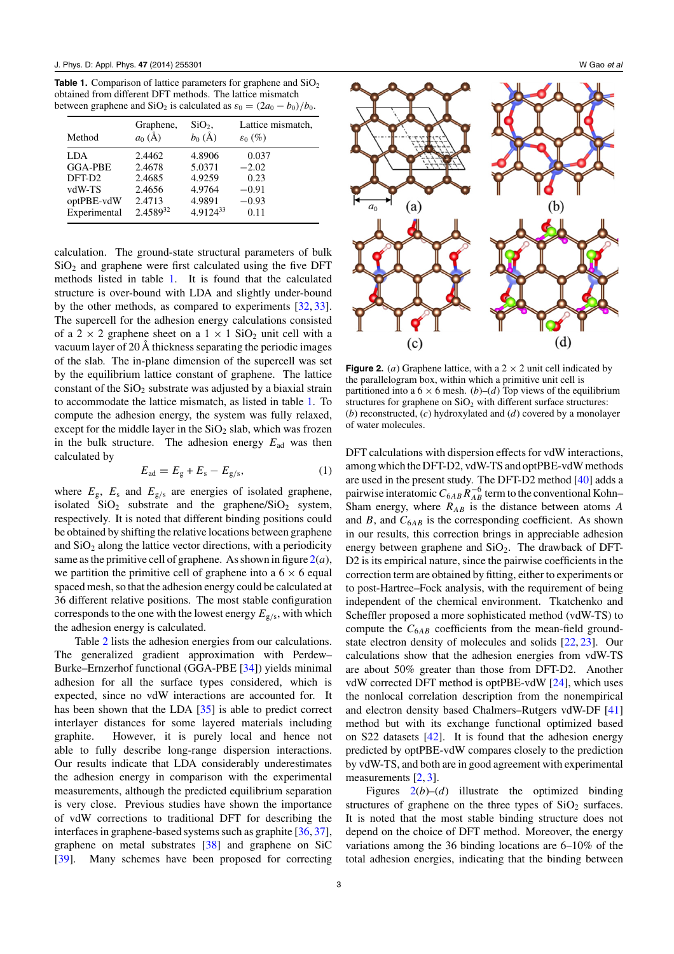**Table 1.** Comparison of lattice parameters for graphene and SiO<sub>2</sub> obtained from different DFT methods. The lattice mismatch between graphene and SiO<sub>2</sub> is calculated as  $\varepsilon_0 = (2a_0 - b_0)/b_0$ .

| Method                | Graphene,<br>$a_0(A)$ | $SiO2$ ,<br>$b_0(\AA)$ | Lattice mismatch,<br>$\varepsilon_0$ (%) |
|-----------------------|-----------------------|------------------------|------------------------------------------|
| LDA<br><b>GGA-PBE</b> | 2.4462<br>2.4678      | 4.8906<br>5.0371       | 0.037<br>$-2.02$                         |
| DFT-D <sub>2</sub>    | 2.4685                | 4.9259                 | 0.23                                     |
| vdW-TS                | 2.4656                | 4.9764                 | $-0.91$                                  |
| optPBE-vdW            | 2.4713                | 4.9891                 | $-0.93$                                  |
| Experimental          | 2.458932              | $4.9124^{33}$          | 0.11                                     |

calculation. The ground-state structural parameters of bulk  $SiO<sub>2</sub>$  and graphene were first calculated using the five DFT methods listed in table 1. It is found that the calculated structure is over-bound with LDA and slightly under-bound by the other methods, as compared to experiments [\[32,](#page-5-0) [33\]](#page-5-0). The supercell for the adhesion energy calculations consisted of a 2  $\times$  2 graphene sheet on a 1  $\times$  1 SiO<sub>2</sub> unit cell with a vacuum layer of 20 Å thickness separating the periodic images of the slab. The in-plane dimension of the supercell was set by the equilibrium lattice constant of graphene. The lattice constant of the  $SiO<sub>2</sub>$  substrate was adjusted by a biaxial strain to accommodate the lattice mismatch, as listed in table 1. To compute the adhesion energy, the system was fully relaxed, except for the middle layer in the  $SiO<sub>2</sub>$  slab, which was frozen in the bulk structure. The adhesion energy  $E_{ad}$  was then calculated by

$$
E_{\rm ad} = E_{\rm g} + E_{\rm s} - E_{\rm g/s},\tag{1}
$$

where  $E_{\rm g}$ ,  $E_{\rm s}$  and  $E_{\rm g/s}$  are energies of isolated graphene, isolated  $SiO<sub>2</sub>$  substrate and the graphene/ $SiO<sub>2</sub>$  system, respectively. It is noted that different binding positions could be obtained by shifting the relative locations between graphene and  $SiO<sub>2</sub>$  along the lattice vector directions, with a periodicity same as the primitive cell of graphene. As shown in figure  $2(a)$ , we partition the primitive cell of graphene into a  $6 \times 6$  equal spaced mesh, so that the adhesion energy could be calculated at 36 different relative positions. The most stable configuration corresponds to the one with the lowest energy *E*g*/*s, with which the adhesion energy is calculated.

Table [2](#page-3-0) lists the adhesion energies from our calculations. The generalized gradient approximation with Perdew– Burke–Ernzerhof functional (GGA-PBE [\[34\]](#page-5-0)) yields minimal adhesion for all the surface types considered, which is expected, since no vdW interactions are accounted for. It has been shown that the LDA [\[35\]](#page-5-0) is able to predict correct interlayer distances for some layered materials including graphite. However, it is purely local and hence not able to fully describe long-range dispersion interactions. Our results indicate that LDA considerably underestimates the adhesion energy in comparison with the experimental measurements, although the predicted equilibrium separation is very close. Previous studies have shown the importance of vdW corrections to traditional DFT for describing the interfaces in graphene-based systems such as graphite [\[36,](#page-5-0) [37\]](#page-5-0), graphene on metal substrates [\[38\]](#page-5-0) and graphene on SiC [\[39\]](#page-5-0). Many schemes have been proposed for correcting



**Figure 2.** (*a*) Graphene lattice, with a  $2 \times 2$  unit cell indicated by the parallelogram box, within which a primitive unit cell is partitioned into a  $6 \times 6$  mesh. (*b*)–(*d*) Top views of the equilibrium structures for graphene on  $SiO<sub>2</sub>$  with different surface structures: (*b*) reconstructed, (*c*) hydroxylated and (*d*) covered by a monolayer of water molecules.

DFT calculations with dispersion effects for vdW interactions, among which the DFT-D2, vdW-TS and optPBE-vdW methods are used in the present study. The DFT-D2 method [\[40\]](#page-5-0) adds a pairwise interatomic  $C_{6AB}R_{AB}^{-6}$  term to the conventional Kohn– Sham energy, where *RAB* is the distance between atoms *A* and  $B$ , and  $C_{6AB}$  is the corresponding coefficient. As shown in our results, this correction brings in appreciable adhesion energy between graphene and  $SiO<sub>2</sub>$ . The drawback of DFT-D2 is its empirical nature, since the pairwise coefficients in the correction term are obtained by fitting, either to experiments or to post-Hartree–Fock analysis, with the requirement of being independent of the chemical environment. Tkatchenko and Scheffler proposed a more sophisticated method (vdW-TS) to compute the  $C_{6AB}$  coefficients from the mean-field groundstate electron density of molecules and solids [\[22,](#page-5-0) [23\]](#page-5-0). Our calculations show that the adhesion energies from vdW-TS are about 50% greater than those from DFT-D2. Another vdW corrected DFT method is optPBE-vdW [\[24\]](#page-5-0), which uses the nonlocal correlation description from the nonempirical and electron density based Chalmers–Rutgers vdW-DF [\[41\]](#page-5-0) method but with its exchange functional optimized based on S22 datasets [\[42\]](#page-5-0). It is found that the adhesion energy predicted by optPBE-vdW compares closely to the prediction by vdW-TS, and both are in good agreement with experimental measurements [\[2,](#page-5-0) [3\]](#page-5-0).

Figures  $2(b)$ –(*d*) illustrate the optimized binding structures of graphene on the three types of  $SiO<sub>2</sub>$  surfaces. It is noted that the most stable binding structure does not depend on the choice of DFT method. Moreover, the energy variations among the 36 binding locations are 6–10% of the total adhesion energies, indicating that the binding between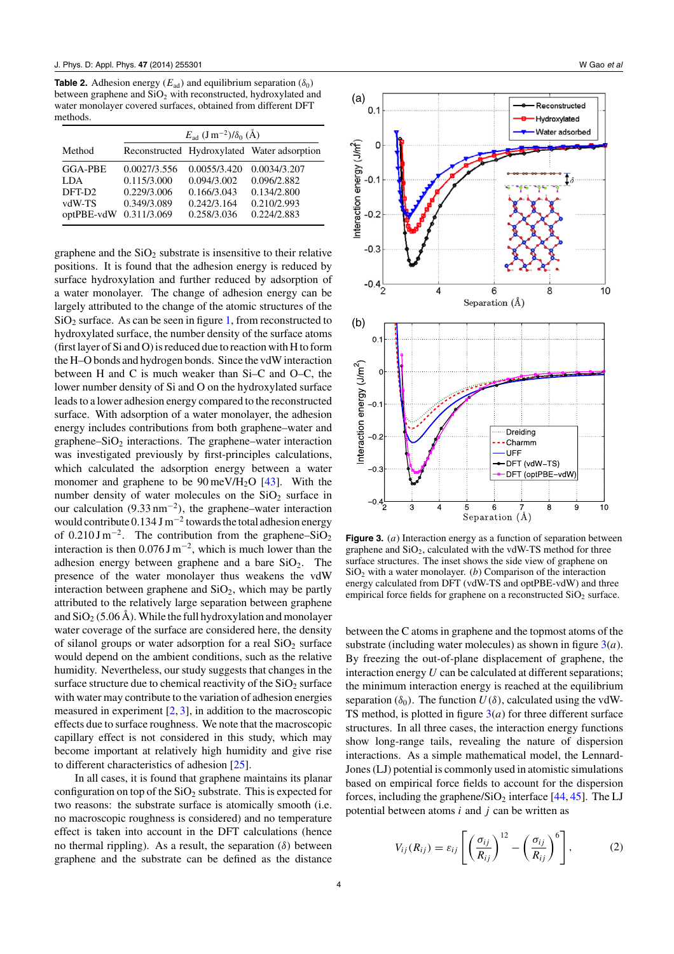<span id="page-3-0"></span>**Table 2.** Adhesion energy ( $E_{ad}$ ) and equilibrium separation ( $\delta_0$ ) between graphene and SiO<sub>2</sub> with reconstructed, hydroxylated and water monolayer covered surfaces, obtained from different DFT methods.

|                    | $E_{\text{ad}}$ $(\text{J m}^{-2})/\delta_0$ $(\text{\AA})$ |              |                                             |  |
|--------------------|-------------------------------------------------------------|--------------|---------------------------------------------|--|
| Method             |                                                             |              | Reconstructed Hydroxylated Water adsorption |  |
| <b>GGA-PBE</b>     | 0.0027/3.556                                                | 0.0055/3.420 | 0.0034/3.207                                |  |
| LDA.               | 0.115/3.000                                                 | 0.094/3.002  | 0.096/2.882                                 |  |
| DFT-D <sub>2</sub> | 0.229/3.006                                                 | 0.166/3.043  | 0.134/2.800                                 |  |
| vdW-TS             | 0.349/3.089                                                 | 0.242/3.164  | 0.210/2.993                                 |  |
| optPBE-vdW         | 0.311/3.069                                                 | 0.258/3.036  | 0.224/2.883                                 |  |

graphene and the  $SiO<sub>2</sub>$  substrate is insensitive to their relative positions. It is found that the adhesion energy is reduced by surface hydroxylation and further reduced by adsorption of a water monolayer. The change of adhesion energy can be largely attributed to the change of the atomic structures of the  $SiO<sub>2</sub>$  surface. As can be seen in figure [1,](#page-1-0) from reconstructed to hydroxylated surface, the number density of the surface atoms (first layer of Si and O) is reduced due to reaction with H to form the H–O bonds and hydrogen bonds. Since the vdW interaction between H and C is much weaker than Si–C and O–C, the lower number density of Si and O on the hydroxylated surface leads to a lower adhesion energy compared to the reconstructed surface. With adsorption of a water monolayer, the adhesion energy includes contributions from both graphene–water and graphene– $SiO<sub>2</sub>$  interactions. The graphene–water interaction was investigated previously by first-principles calculations, which calculated the adsorption energy between a water monomer and graphene to be  $90 \text{ meV/H}_2\text{O}$  [\[43\]](#page-5-0). With the number density of water molecules on the  $SiO<sub>2</sub>$  surface in our calculation (9.33 nm−<sup>2</sup>*)*, the graphene–water interaction would contribute  $0.134$  J m<sup>-2</sup> towards the total adhesion energy of  $0.210 \text{ J m}^{-2}$ . The contribution from the graphene–SiO<sub>2</sub> interaction is then  $0.076$  J m<sup>-2</sup>, which is much lower than the adhesion energy between graphene and a bare  $SiO<sub>2</sub>$ . The presence of the water monolayer thus weakens the vdW interaction between graphene and  $SiO<sub>2</sub>$ , which may be partly attributed to the relatively large separation between graphene and  $SiO<sub>2</sub>$  (5.06 Å). While the full hydroxylation and monolayer water coverage of the surface are considered here, the density of silanol groups or water adsorption for a real  $SiO<sub>2</sub>$  surface would depend on the ambient conditions, such as the relative humidity. Nevertheless, our study suggests that changes in the surface structure due to chemical reactivity of the  $SiO<sub>2</sub>$  surface with water may contribute to the variation of adhesion energies measured in experiment  $[2, 3]$  $[2, 3]$  $[2, 3]$ , in addition to the macroscopic effects due to surface roughness. We note that the macroscopic capillary effect is not considered in this study, which may become important at relatively high humidity and give rise to different characteristics of adhesion [\[25\]](#page-5-0).

In all cases, it is found that graphene maintains its planar configuration on top of the  $SiO<sub>2</sub>$  substrate. This is expected for two reasons: the substrate surface is atomically smooth (i.e. no macroscopic roughness is considered) and no temperature effect is taken into account in the DFT calculations (hence no thermal rippling). As a result, the separation (*δ)* between graphene and the substrate can be defined as the distance



**Figure 3.** (*a*) Interaction energy as a function of separation between graphene and  $SiO<sub>2</sub>$ , calculated with the vdW-TS method for three surface structures. The inset shows the side view of graphene on  $SiO<sub>2</sub>$  with a water monolayer. (*b*) Comparison of the interaction energy calculated from DFT (vdW-TS and optPBE-vdW) and three empirical force fields for graphene on a reconstructed  $SiO<sub>2</sub>$  surface.

between the C atoms in graphene and the topmost atoms of the substrate (including water molecules) as shown in figure 3(*a*). By freezing the out-of-plane displacement of graphene, the interaction energy *U* can be calculated at different separations; the minimum interaction energy is reached at the equilibrium separation  $(\delta_0)$ . The function  $U(\delta)$ , calculated using the vdW-TS method, is plotted in figure  $3(a)$  for three different surface structures. In all three cases, the interaction energy functions show long-range tails, revealing the nature of dispersion interactions. As a simple mathematical model, the Lennard-Jones (LJ) potential is commonly used in atomistic simulations based on empirical force fields to account for the dispersion forces, including the graphene/ $SiO<sub>2</sub>$  interface [\[44,](#page-5-0) [45\]](#page-5-0). The LJ potential between atoms *i* and *j* can be written as

$$
V_{ij}(R_{ij}) = \varepsilon_{ij} \left[ \left( \frac{\sigma_{ij}}{R_{ij}} \right)^{12} - \left( \frac{\sigma_{ij}}{R_{ij}} \right)^{6} \right],
$$
 (2)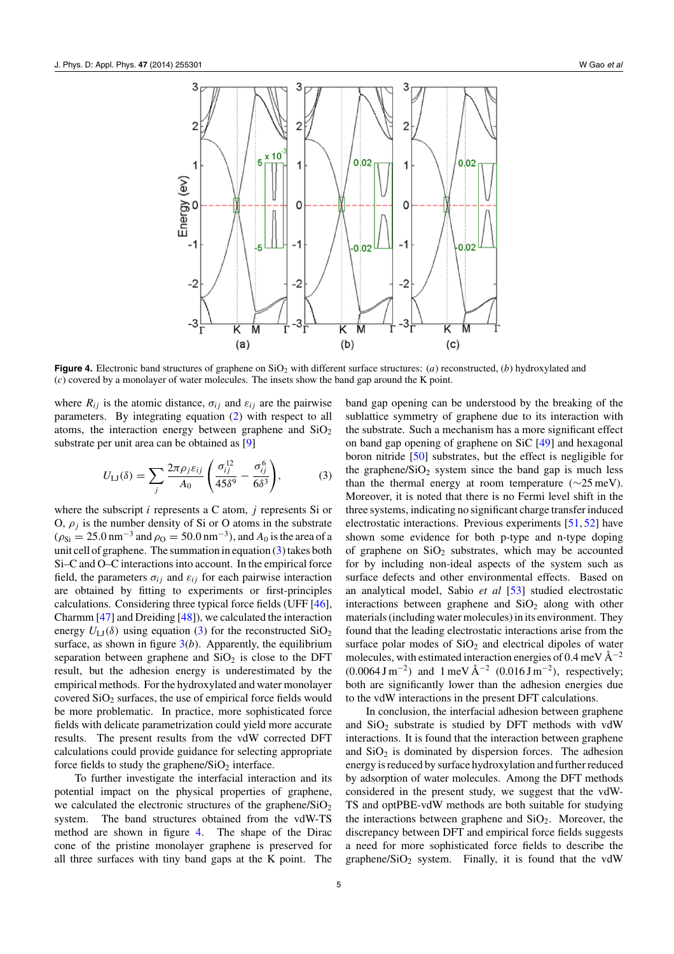

**Figure 4.** Electronic band structures of graphene on  $SiO<sub>2</sub>$  with different surface structures: (*a*) reconstructed, (*b*) hydroxylated and (*c*) covered by a monolayer of water molecules. The insets show the band gap around the K point.

where  $R_{ij}$  is the atomic distance,  $\sigma_{ij}$  and  $\varepsilon_{ij}$  are the pairwise parameters. By integrating equation [\(2\)](#page-3-0) with respect to all atoms, the interaction energy between graphene and  $SiO<sub>2</sub>$ substrate per unit area can be obtained as [\[9\]](#page-5-0)

$$
U_{\text{LJ}}(\delta) = \sum_{j} \frac{2\pi \rho_j \varepsilon_{ij}}{A_0} \left( \frac{\sigma_{ij}^{12}}{45\delta^9} - \frac{\sigma_{ij}^6}{6\delta^3} \right),\tag{3}
$$

where the subscript *i* represents a C atom, *j* represents Si or O,  $\rho_i$  is the number density of Si or O atoms in the substrate  $(\rho_{\text{Si}} = 25.0 \text{ nm}^{-3}$  and  $\rho_{\text{O}} = 50.0 \text{ nm}^{-3}$ ), and  $A_0$  is the area of a unit cell of graphene. The summation in equation (3) takes both Si–C and O–C interactions into account. In the empirical force field, the parameters  $\sigma_{ij}$  and  $\varepsilon_{ij}$  for each pairwise interaction are obtained by fitting to experiments or first-principles calculations. Considering three typical force fields (UFF [\[46\]](#page-5-0), Charmm [\[47\]](#page-5-0) and Dreiding [\[48\]](#page-5-0)), we calculated the interaction energy  $U_{\text{LJ}}(\delta)$  using equation (3) for the reconstructed  $\text{SiO}_2$ surface, as shown in figure  $3(b)$  $3(b)$ . Apparently, the equilibrium separation between graphene and  $SiO<sub>2</sub>$  is close to the DFT result, but the adhesion energy is underestimated by the empirical methods. For the hydroxylated and water monolayer covered  $SiO<sub>2</sub>$  surfaces, the use of empirical force fields would be more problematic. In practice, more sophisticated force fields with delicate parametrization could yield more accurate results. The present results from the vdW corrected DFT calculations could provide guidance for selecting appropriate force fields to study the graphene/ $SiO<sub>2</sub>$  interface.

To further investigate the interfacial interaction and its potential impact on the physical properties of graphene, we calculated the electronic structures of the graphene/ $SiO<sub>2</sub>$ system. The band structures obtained from the vdW-TS method are shown in figure 4. The shape of the Dirac cone of the pristine monolayer graphene is preserved for all three surfaces with tiny band gaps at the K point. The

band gap opening can be understood by the breaking of the sublattice symmetry of graphene due to its interaction with the substrate. Such a mechanism has a more significant effect on band gap opening of graphene on SiC [\[49\]](#page-5-0) and hexagonal boron nitride [\[50\]](#page-5-0) substrates, but the effect is negligible for the graphene/ $SiO<sub>2</sub>$  system since the band gap is much less than the thermal energy at room temperature ( $\sim$ 25 meV). Moreover, it is noted that there is no Fermi level shift in the three systems, indicating no significant charge transfer induced electrostatic interactions. Previous experiments [\[51,](#page-5-0) [52\]](#page-5-0) have shown some evidence for both p-type and n-type doping of graphene on  $SiO<sub>2</sub>$  substrates, which may be accounted for by including non-ideal aspects of the system such as surface defects and other environmental effects. Based on an analytical model, Sabio *et al* [\[53\]](#page-5-0) studied electrostatic interactions between graphene and  $SiO<sub>2</sub>$  along with other materials (including water molecules) in its environment. They found that the leading electrostatic interactions arise from the surface polar modes of  $SiO<sub>2</sub>$  and electrical dipoles of water molecules, with estimated interaction energies of 0.4 meV  $\rm \AA^{-2}$  $(0.0064 \text{ J m}^{-2})$  and  $1 \text{ meV} \text{ Å}^{-2}$   $(0.016 \text{ J m}^{-2})$ , respectively; both are significantly lower than the adhesion energies due to the vdW interactions in the present DFT calculations.

In conclusion, the interfacial adhesion between graphene and  $SiO<sub>2</sub>$  substrate is studied by DFT methods with vdW interactions. It is found that the interaction between graphene and  $SiO<sub>2</sub>$  is dominated by dispersion forces. The adhesion energy is reduced by surface hydroxylation and further reduced by adsorption of water molecules. Among the DFT methods considered in the present study, we suggest that the vdW-TS and optPBE-vdW methods are both suitable for studying the interactions between graphene and  $SiO<sub>2</sub>$ . Moreover, the discrepancy between DFT and empirical force fields suggests a need for more sophisticated force fields to describe the graphene/ $SiO<sub>2</sub>$  system. Finally, it is found that the vdW